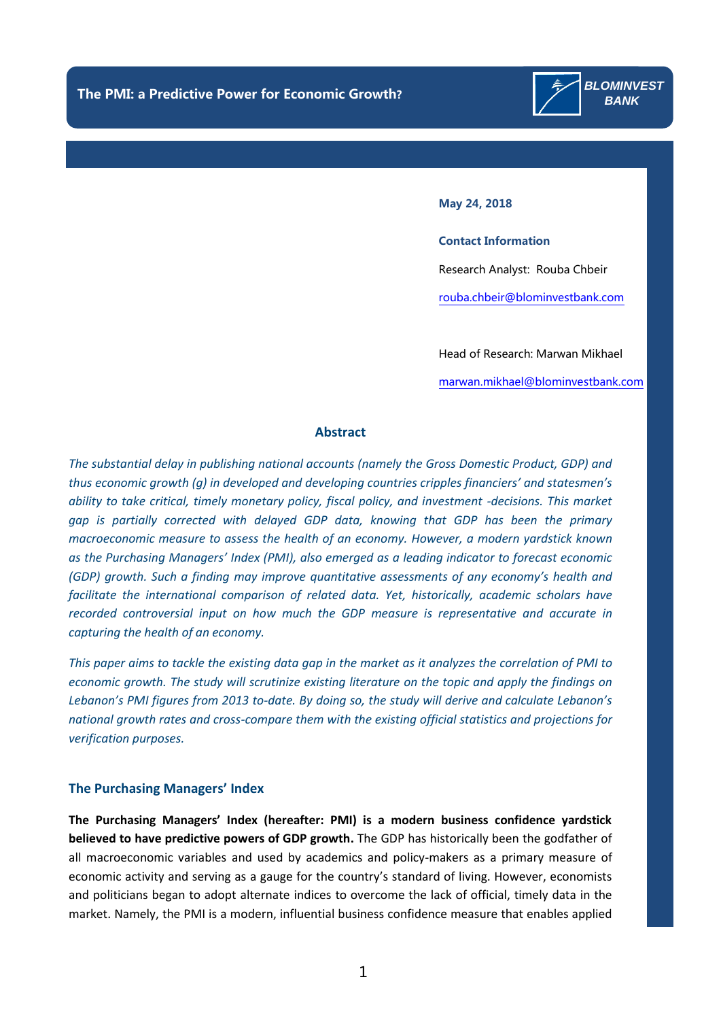

#### **May 24, 2018**

**Contact Information** Research Analyst: Rouba Chbeir [rouba.chbeir@blominvestbank.com](mailto:rouba.chbeir@blominvestbank.com)

Head of Research: Marwan Mikhael

[marwan.mikhael@blominvestbank.com](mailto:marwan.mikhael@blominvestbank.com)

#### **Abstract**

*The substantial delay in publishing national accounts (namely the Gross Domestic Product, GDP) and thus economic growth (g) in developed and developing countries cripples financiers' and statesmen's ability to take critical, timely monetary policy, fiscal policy, and investment -decisions. This market gap is partially corrected with delayed GDP data, knowing that GDP has been the primary macroeconomic measure to assess the health of an economy. However, a modern yardstick known as the Purchasing Managers' Index (PMI), also emerged as a leading indicator to forecast economic (GDP) growth. Such a finding may improve quantitative assessments of any economy's health and facilitate the international comparison of related data. Yet, historically, academic scholars have recorded controversial input on how much the GDP measure is representative and accurate in capturing the health of an economy.*

*This paper aims to tackle the existing data gap in the market as it analyzes the correlation of PMI to economic growth. The study will scrutinize existing literature on the topic and apply the findings on Lebanon's PMI figures from 2013 to-date. By doing so, the study will derive and calculate Lebanon's national growth rates and cross-compare them with the existing official statistics and projections for verification purposes.*

#### **The Purchasing Managers' Index**

**The Purchasing Managers' Index (hereafter: PMI) is a modern business confidence yardstick believed to have predictive powers of GDP growth.** The GDP has historically been the godfather of all macroeconomic variables and used by academics and policy-makers as a primary measure of economic activity and serving as a gauge for the country's standard of living. However, economists and politicians began to adopt alternate indices to overcome the lack of official, timely data in the market. Namely, the PMI is a modern, influential business confidence measure that enables applied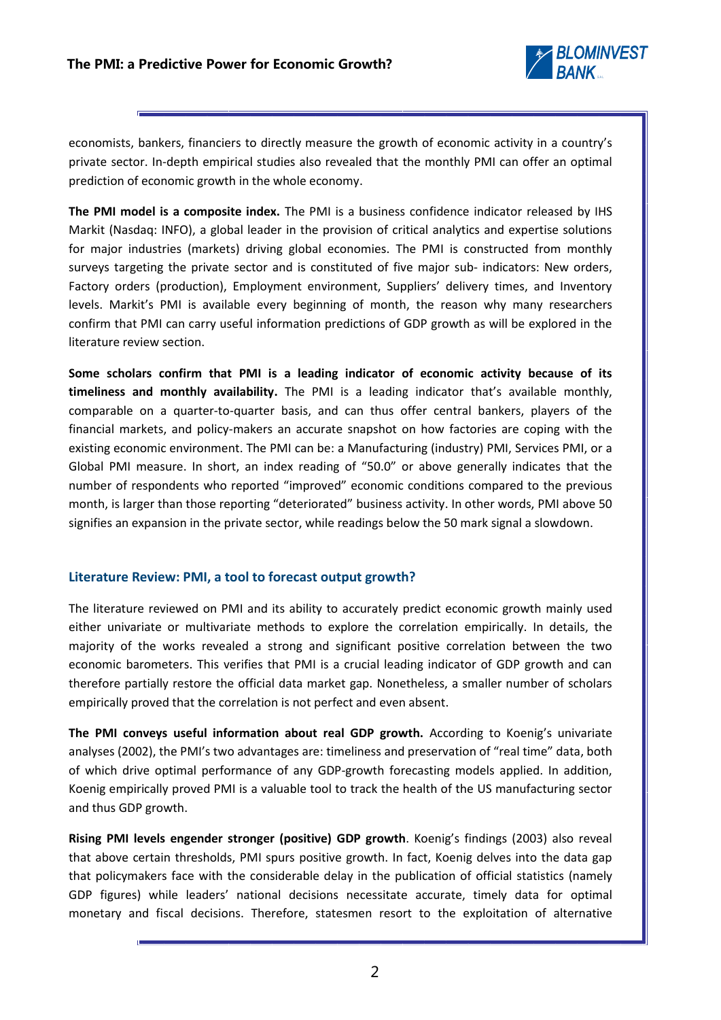

economists, bankers, financiers to directly measure the growth of economic activity in a country's private sector. In-depth empirical studies also revealed that the monthly PMI can offer an optimal prediction of economic growth in the whole economy.

**The PMI model is a composite index.** The PMI is a business confidence indicator released by IHS Markit (Nasdaq: INFO), a global leader in the provision of critical analytics and expertise solutions for major industries (markets) driving global economies. The PMI is constructed from monthly surveys targeting the private sector and is constituted of five major sub- indicators: New orders, Factory orders (production), Employment environment, Suppliers' delivery times, and Inventory levels. Markit's PMI is available every beginning of month, the reason why many researchers confirm that PMI can carry useful information predictions of GDP growth as will be explored in the literature review section.

**Some scholars confirm that PMI is a leading indicator of economic activity because of its timeliness and monthly availability.** The PMI is a leading indicator that's available monthly, comparable on a quarter-to-quarter basis, and can thus offer central bankers, players of the financial markets, and policy-makers an accurate snapshot on how factories are coping with the existing economic environment. The PMI can be: a Manufacturing (industry) PMI, Services PMI, or a Global PMI measure. In short, an index reading of "50.0" or above generally indicates that the number of respondents who reported "improved" economic conditions compared to the previous month, is larger than those reporting "deteriorated" business activity. In other words, PMI above 50 signifies an expansion in the private sector, while readings below the 50 mark signal a slowdown.

## **Literature Review: PMI, a tool to forecast output growth?**

The literature reviewed on PMI and its ability to accurately predict economic growth mainly used either univariate or multivariate methods to explore the correlation empirically. In details, the majority of the works revealed a strong and significant positive correlation between the two economic barometers. This verifies that PMI is a crucial leading indicator of GDP growth and can therefore partially restore the official data market gap. Nonetheless, a smaller number of scholars empirically proved that the correlation is not perfect and even absent.

**The PMI conveys useful information about real GDP growth.** According to Koenig's univariate analyses (2002), the PMI's two advantages are: timeliness and preservation of "real time" data, both of which drive optimal performance of any GDP-growth forecasting models applied. In addition, Koenig empirically proved PMI is a valuable tool to track the health of the US manufacturing sector and thus GDP growth.

**Rising PMI levels engender stronger (positive) GDP growth**. Koenig's findings (2003) also reveal that above certain thresholds, PMI spurs positive growth. In fact, Koenig delves into the data gap that policymakers face with the considerable delay in the publication of official statistics (namely GDP figures) while leaders' national decisions necessitate accurate, timely data for optimal monetary and fiscal decisions. Therefore, statesmen resort to the exploitation of alternative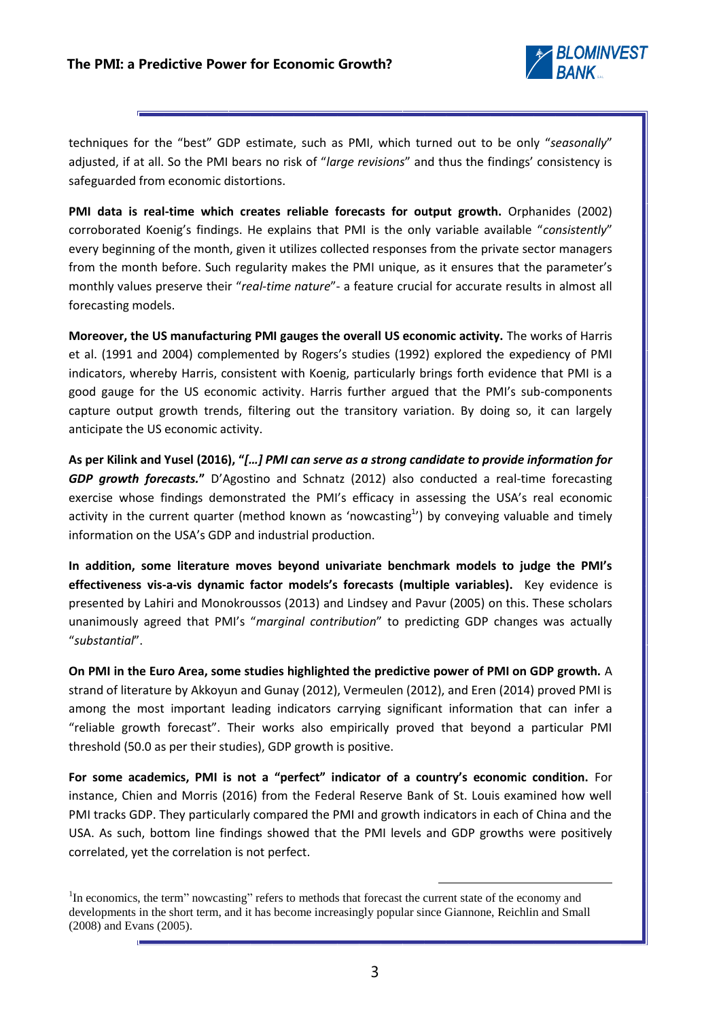

techniques for the "best" GDP estimate, such as PMI, which turned out to be only "*seasonally*" adjusted, if at all. So the PMI bears no risk of "*large revisions*" and thus the findings' consistency is safeguarded from economic distortions.

**PMI data is real-time which creates reliable forecasts for output growth.** Orphanides (2002) corroborated Koenig's findings. He explains that PMI is the only variable available "*consistently*" every beginning of the month, given it utilizes collected responses from the private sector managers from the month before. Such regularity makes the PMI unique, as it ensures that the parameter's monthly values preserve their "*real-time nature*"- a feature crucial for accurate results in almost all forecasting models.

**Moreover, the US manufacturing PMI gauges the overall US economic activity.** The works of Harris et al. (1991 and 2004) complemented by Rogers's studies (1992) explored the expediency of PMI indicators, whereby Harris, consistent with Koenig, particularly brings forth evidence that PMI is a good gauge for the US economic activity. Harris further argued that the PMI's sub-components capture output growth trends, filtering out the transitory variation. By doing so, it can largely anticipate the US economic activity.

**As per Kilink and Yusel (2016), "***[…] PMI can serve as a strong candidate to provide information for GDP growth forecasts.***"** D'Agostino and Schnatz (2012) also conducted a real-time forecasting exercise whose findings demonstrated the PMI's efficacy in assessing the USA's real economic activity in the current quarter (method known as 'nowcasting<sup>1</sup>') by conveying valuable and timely information on the USA's GDP and industrial production.

**In addition, some literature moves beyond univariate benchmark models to judge the PMI's effectiveness vis-a-vis dynamic factor models's forecasts (multiple variables).** Key evidence is presented by Lahiri and Monokroussos (2013) and Lindsey and Pavur (2005) on this. These scholars unanimously agreed that PMI's "*marginal contribution*" to predicting GDP changes was actually "*substantial*".

**On PMI in the Euro Area, some studies highlighted the predictive power of PMI on GDP growth.** A strand of literature by Akkoyun and Gunay (2012), Vermeulen (2012), and Eren (2014) proved PMI is among the most important leading indicators carrying significant information that can infer a "reliable growth forecast". Their works also empirically proved that beyond a particular PMI threshold (50.0 as per their studies), GDP growth is positive.

**For some academics, PMI is not a "perfect" indicator of a country's economic condition.** For instance, Chien and Morris (2016) from the Federal Reserve Bank of St. Louis examined how well PMI tracks GDP. They particularly compared the PMI and growth indicators in each of China and the USA. As such, bottom line findings showed that the PMI levels and GDP growths were positively correlated, yet the correlation is not perfect.

-

<sup>&</sup>lt;sup>1</sup>In economics, the term" nowcasting" refers to methods that forecast the current state of the economy and developments in the short term, and it has become increasingly popular since Giannone, Reichlin and Small (2008) and Evans (2005).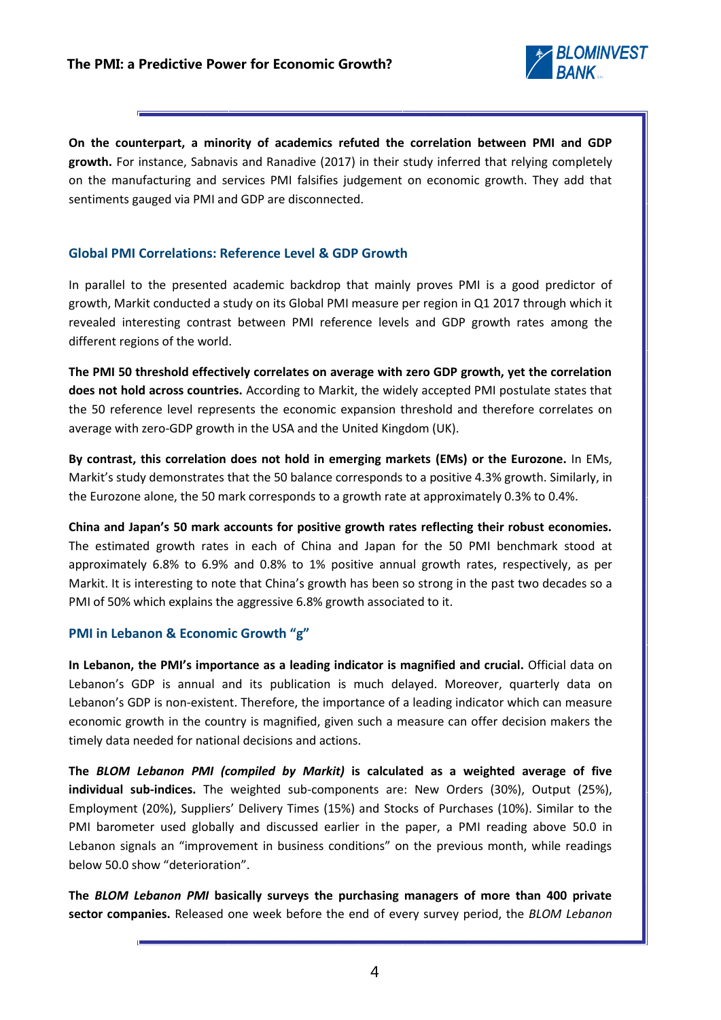

**On the counterpart, a minority of academics refuted the correlation between PMI and GDP growth.** For instance, Sabnavis and Ranadive (2017) in their study inferred that relying completely on the manufacturing and services PMI falsifies judgement on economic growth. They add that sentiments gauged via PMI and GDP are disconnected.

## **Global PMI Correlations: Reference Level & GDP Growth**

In parallel to the presented academic backdrop that mainly proves PMI is a good predictor of growth, Markit conducted a study on its Global PMI measure per region in Q1 2017 through which it revealed interesting contrast between PMI reference levels and GDP growth rates among the different regions of the world.

**The PMI 50 threshold effectively correlates on average with zero GDP growth, yet the correlation does not hold across countries.** According to Markit, the widely accepted PMI postulate states that the 50 reference level represents the economic expansion threshold and therefore correlates on average with zero-GDP growth in the USA and the United Kingdom (UK).

**By contrast, this correlation does not hold in emerging markets (EMs) or the Eurozone.** In EMs, Markit's study demonstrates that the 50 balance corresponds to a positive 4.3% growth. Similarly, in the Eurozone alone, the 50 mark corresponds to a growth rate at approximately 0.3% to 0.4%.

**China and Japan's 50 mark accounts for positive growth rates reflecting their robust economies.**  The estimated growth rates in each of China and Japan for the 50 PMI benchmark stood at approximately 6.8% to 6.9% and 0.8% to 1% positive annual growth rates, respectively, as per Markit. It is interesting to note that China's growth has been so strong in the past two decades so a PMI of 50% which explains the aggressive 6.8% growth associated to it.

# **PMI in Lebanon & Economic Growth "g"**

**In Lebanon, the PMI's importance as a leading indicator is magnified and crucial.** Official data on Lebanon's GDP is annual and its publication is much delayed. Moreover, quarterly data on Lebanon's GDP is non-existent. Therefore, the importance of a leading indicator which can measure economic growth in the country is magnified, given such a measure can offer decision makers the timely data needed for national decisions and actions.

**The** *BLOM Lebanon PMI (compiled by Markit)* **is calculated as a weighted average of five individual sub-indices.** The weighted sub-components are: New Orders (30%), Output (25%), Employment (20%), Suppliers' Delivery Times (15%) and Stocks of Purchases (10%). Similar to the PMI barometer used globally and discussed earlier in the paper, a PMI reading above 50.0 in Lebanon signals an "improvement in business conditions" on the previous month, while readings below 50.0 show "deterioration".

**The** *BLOM Lebanon PMI* **basically surveys the purchasing managers of more than 400 private sector companies.** Released one week before the end of every survey period, the *BLOM Lebanon*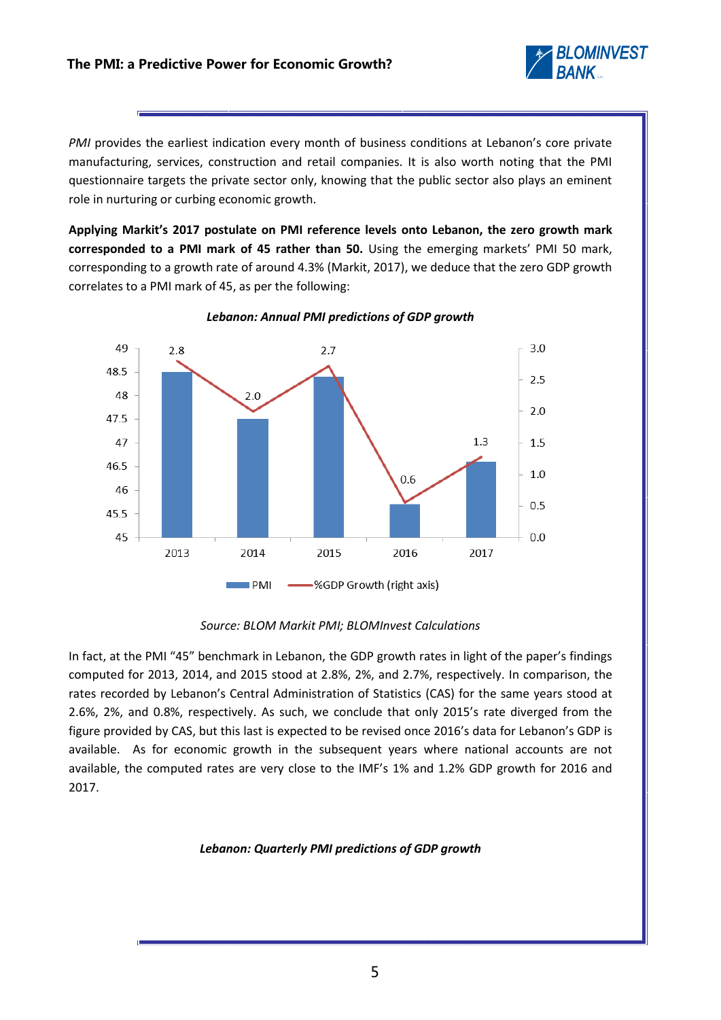

*PMI* provides the earliest indication every month of business conditions at Lebanon's core private manufacturing, services, construction and retail companies. It is also worth noting that the PMI questionnaire targets the private sector only, knowing that the public sector also plays an eminent role in nurturing or curbing economic growth.

**Applying Markit's 2017 postulate on PMI reference levels onto Lebanon, the zero growth mark corresponded to a PMI mark of 45 rather than 50.** Using the emerging markets' PMI 50 mark, corresponding to a growth rate of around 4.3% (Markit, 2017), we deduce that the zero GDP growth correlates to a PMI mark of 45, as per the following:



#### *Lebanon: Annual PMI predictions of GDP growth*

## *Source: BLOM Markit PMI; BLOMInvest Calculations*

In fact, at the PMI "45" benchmark in Lebanon, the GDP growth rates in light of the paper's findings computed for 2013, 2014, and 2015 stood at 2.8%, 2%, and 2.7%, respectively. In comparison, the rates recorded by Lebanon's Central Administration of Statistics (CAS) for the same years stood at 2.6%, 2%, and 0.8%, respectively. As such, we conclude that only 2015's rate diverged from the figure provided by CAS, but this last is expected to be revised once 2016's data for Lebanon's GDP is available. As for economic growth in the subsequent years where national accounts are not available, the computed rates are very close to the IMF's 1% and 1.2% GDP growth for 2016 and 2017.

## *Lebanon: Quarterly PMI predictions of GDP growth*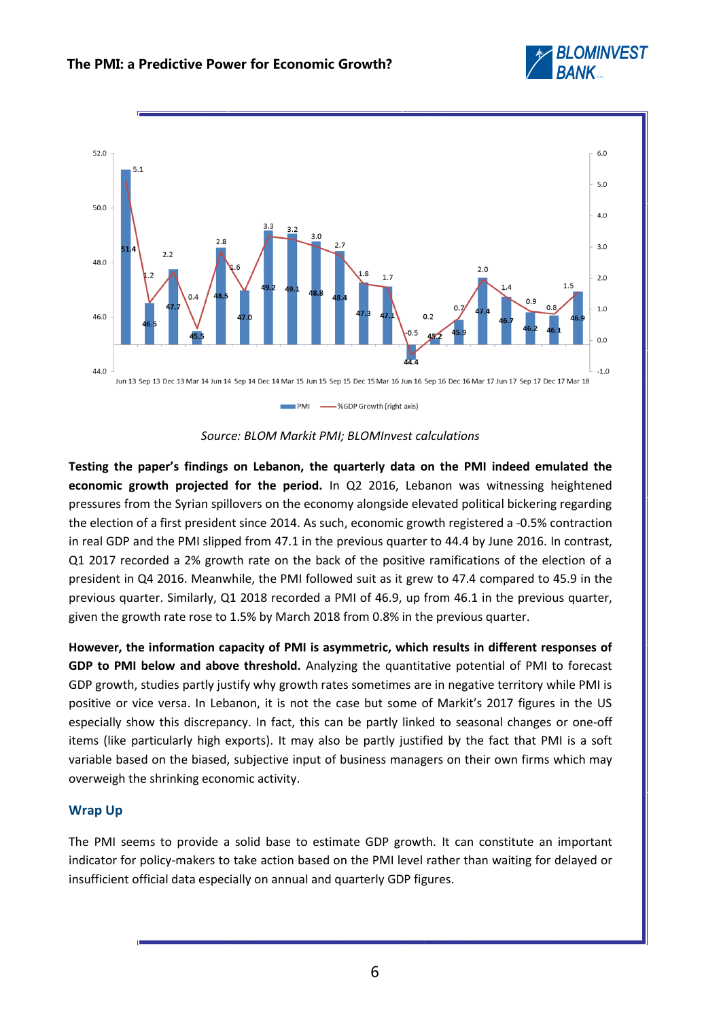







**Testing the paper's findings on Lebanon, the quarterly data on the PMI indeed emulated the economic growth projected for the period.** In Q2 2016, Lebanon was witnessing heightened pressures from the Syrian spillovers on the economy alongside elevated political bickering regarding the election of a first president since 2014. As such, economic growth registered a -0.5% contraction in real GDP and the PMI slipped from 47.1 in the previous quarter to 44.4 by June 2016. In contrast, Q1 2017 recorded a 2% growth rate on the back of the positive ramifications of the election of a president in Q4 2016. Meanwhile, the PMI followed suit as it grew to 47.4 compared to 45.9 in the previous quarter. Similarly, Q1 2018 recorded a PMI of 46.9, up from 46.1 in the previous quarter, given the growth rate rose to 1.5% by March 2018 from 0.8% in the previous quarter.

**However, the information capacity of PMI is asymmetric, which results in different responses of GDP to PMI below and above threshold.** Analyzing the quantitative potential of PMI to forecast GDP growth, studies partly justify why growth rates sometimes are in negative territory while PMI is positive or vice versa. In Lebanon, it is not the case but some of Markit's 2017 figures in the US especially show this discrepancy. In fact, this can be partly linked to seasonal changes or one-off items (like particularly high exports). It may also be partly justified by the fact that PMI is a soft variable based on the biased, subjective input of business managers on their own firms which may overweigh the shrinking economic activity.

## **Wrap Up**

The PMI seems to provide a solid base to estimate GDP growth. It can constitute an important indicator for policy-makers to take action based on the PMI level rather than waiting for delayed or insufficient official data especially on annual and quarterly GDP figures.